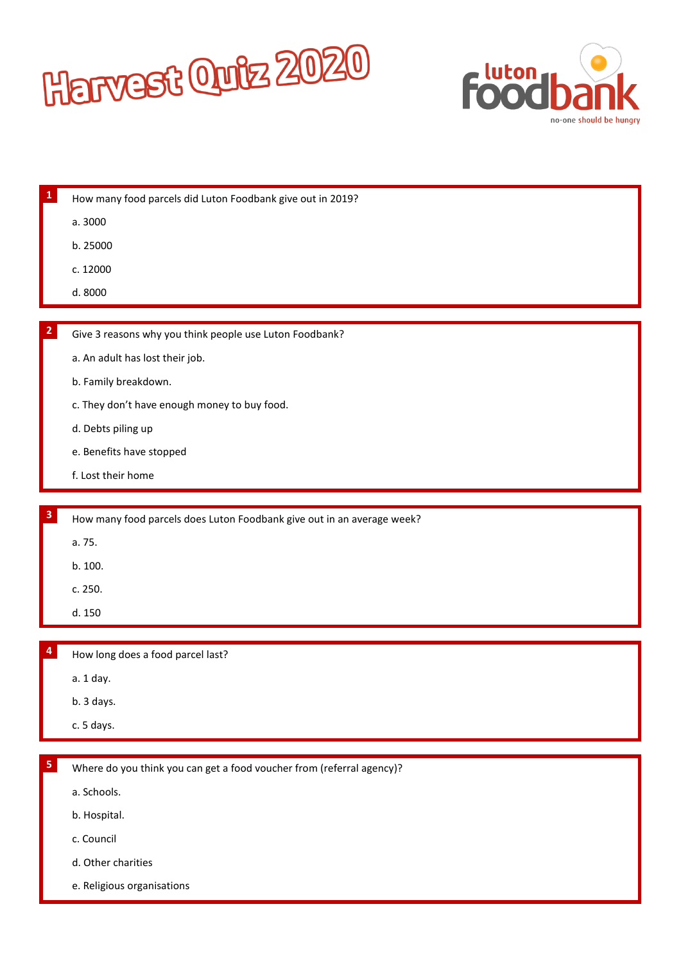



| 1            | How many food parcels did Luton Foodbank give out in 2019?             |
|--------------|------------------------------------------------------------------------|
|              | a. 3000                                                                |
|              | b. 25000                                                               |
|              | c. 12000                                                               |
|              | d. 8000                                                                |
|              |                                                                        |
| $\mathbf{z}$ | Give 3 reasons why you think people use Luton Foodbank?                |
|              | a. An adult has lost their job.                                        |
|              | b. Family breakdown.                                                   |
|              | c. They don't have enough money to buy food.                           |
|              | d. Debts piling up                                                     |
|              | e. Benefits have stopped                                               |
|              | f. Lost their home                                                     |
|              |                                                                        |
| 3            | How many food parcels does Luton Foodbank give out in an average week? |
|              | a. 75.                                                                 |
|              | b. 100.                                                                |
|              | c. 250.                                                                |
|              | d. 150                                                                 |
|              |                                                                        |
|              | How long does a food parcel last?                                      |
|              | a. 1 day.                                                              |
|              | b. 3 days.                                                             |
|              | c. 5 days.                                                             |
|              |                                                                        |
| 5.           | Where do you think you can get a food voucher from (referral agency)?  |
|              | a. Schools.                                                            |
|              | b. Hospital.                                                           |
|              | c. Council                                                             |
|              | d. Other charities                                                     |
|              | e. Religious organisations                                             |
|              |                                                                        |